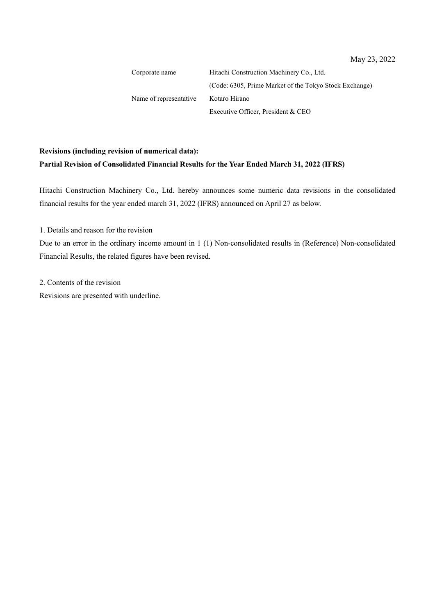Corporate name Hitachi Construction Machinery Co., Ltd. (Code: 6305, Prime Market of the Tokyo Stock Exchange) Name of representative Kotaro Hirano Executive Officer, President & CEO

# **Revisions (including revision of numerical data): Partial Revision of Consolidated Financial Results for the Year Ended March 31, 2022 (IFRS)**

Hitachi Construction Machinery Co., Ltd. hereby announces some numeric data revisions in the consolidated financial results for the year ended march 31, 2022 (IFRS) announced on April 27 as below.

1. Details and reason for the revision

Due to an error in the ordinary income amount in 1 (1) Non-consolidated results in (Reference) Non-consolidated Financial Results, the related figures have been revised.

2. Contents of the revision

Revisions are presented with underline.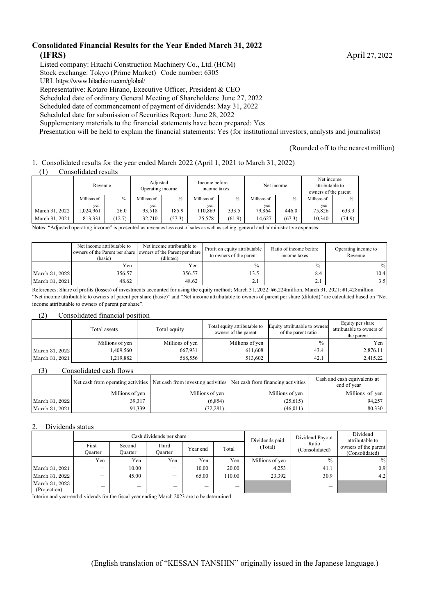#### **Consolidated Financial Results for the Year Ended March 31, 2022 (IFRS)** April 27, 2022

Listed company: Hitachi Construction Machinery Co., Ltd.(HCM)

Stock exchange: Tokyo (Prime Market) Code number: 6305

URL https://www.hitachicm.com/global/

Representative: Kotaro Hirano, Executive Officer, President & CEO

Scheduled date of ordinary General Meeting of Shareholders: June 27, 2022

Scheduled date of commencement of payment of dividends: May 31, 2022

Scheduled date for submission of Securities Report: June 28, 2022

Supplementary materials to the financial statements have been prepared: Yes

Presentation will be held to explain the financial statements: Yes (for institutional investors, analysts and journalists)

#### (Rounded off to the nearest million)

1. Consolidated results for the year ended March 2022 (April 1, 2021 to March 31, 2022)

(1) Consolidated results

|                | Revenue     |        | Adjusted<br>Income before<br>Operating income<br>income taxes |        |             |               | Net income  | Net income<br>attributable to<br>owners of the parent |             |               |
|----------------|-------------|--------|---------------------------------------------------------------|--------|-------------|---------------|-------------|-------------------------------------------------------|-------------|---------------|
|                | Millions of | $\%$   | Millions of                                                   | $\%$   | Millions of | $\frac{0}{0}$ | Millions of | $\%$                                                  | Millions of | $\frac{0}{0}$ |
|                | ven         |        | ven                                                           |        | yen         |               | ven         |                                                       | yen         |               |
| March 31, 2022 | .024,961    | 26.0   | 93,518                                                        | 185.9  | 110,869     | 333.5         | 79.864      | 446.0                                                 | 75,826      | 633.3         |
| March 31, 2021 | 813,331     | (12.7) | 32,710                                                        | (57.3) | 25,578      | (61.9)        | 14.627      | (67.3)                                                | 10,340      | (74.9)        |

Notes: "Adjusted operating income" is presented as revenues less cost of sales as well as selling, general and administrative expenses.

|                | Net income attributable to<br>(basic) | Net income attributable to<br>owners of the Parent per share owners of the Parent per share<br>(diluted) | Profit on equity attributable<br>to owners of the parent | Ratio of income before<br>income taxes | Operating income to<br>Revenue |
|----------------|---------------------------------------|----------------------------------------------------------------------------------------------------------|----------------------------------------------------------|----------------------------------------|--------------------------------|
|                | Yen                                   | Yen                                                                                                      | $\frac{0}{0}$                                            | $\frac{0}{0}$                          | $\%$                           |
| March 31, 2022 | 356.57                                | 356.57                                                                                                   | 13.5                                                     | 8.4                                    | 10.4                           |
| March 31, 2021 | 48.62                                 | 48.62                                                                                                    | 4.                                                       | 2.1                                    | 3.5 <sub>1</sub>               |

References: Share of profits (losses) of investments accounted for using the equity method; March 31, 2022: ¥6,224million, March 31, 2021: ¥1,428million "Net income attributable to owners of parent per share (basic)" and "Net income attributable to owners of parent per share (diluted)" are calculated based on "Net income attributable to owners of parent per share".

#### (2) Consolidated financial position

|                | Total assets    | Total equity    | Total equity attributable to<br>owners of the parent | Equity attributable to owners<br>of the parent ratio | Equity per share<br>attributable to owners of<br>the parent |
|----------------|-----------------|-----------------|------------------------------------------------------|------------------------------------------------------|-------------------------------------------------------------|
|                | Millions of yen | Millions of yen | Millions of yen                                      | $\frac{0}{0}$                                        | Yen                                                         |
| March 31, 2022 | .409,560        | 667.931         | 611.608                                              | 43.4                                                 | 2,876.11                                                    |
| March 31, 2021 | ,219,882        | 568,556         | 513,602                                              | 42.1                                                 | 2.415.22                                                    |

#### (3) Consolidated cash flows

|                |                 | Net cash from operating activities Net cash from investing activities Net cash from financing activities |                 | Cash and cash equivalents at<br>end of year |
|----------------|-----------------|----------------------------------------------------------------------------------------------------------|-----------------|---------------------------------------------|
|                | Millions of yen | Millions of yen                                                                                          | Millions of yen | Millions of yen                             |
| March 31, 2022 | 39,317          | (6,854)                                                                                                  | (25, 615)       | 94.257                                      |
| March 31, 2021 | 91,339          | (32, 281)                                                                                                | (46, 011)       | 80,330                                      |

#### 2. Dividends status

|                                |                          |                   | Cash dividends per share | Dividends paid           | Dividend Payout | Dividend<br>attributable to |                         |                                        |
|--------------------------------|--------------------------|-------------------|--------------------------|--------------------------|-----------------|-----------------------------|-------------------------|----------------------------------------|
|                                | First<br>Ouarter         | Second<br>Ouarter | Third<br>Ouarter         | Year end                 | Total           | (Total)                     | Ratio<br>(Consolidated) | owners of the parent<br>(Consolidated) |
|                                | Yen                      | Yen               | Yen                      | Yen                      | Yen             | Millions of yen             | $\frac{0}{0}$           | $\frac{0}{0}$                          |
| March 31, 2021                 | $\overline{\phantom{0}}$ | 10.00             | –                        | 10.00                    | 20.00           | 4.253                       | 41.1                    | 0.9                                    |
| March 31, 2022                 |                          | 45.00             | –                        | 65.00                    | 110.00          | 23,392                      | 30.9                    | 4.2                                    |
| March 31, 2023<br>(Projection) |                          | —                 | –                        | $\overline{\phantom{0}}$ |                 |                             |                         |                                        |

Interim and year-end dividends for the fiscal year ending March 2023 are to be determined.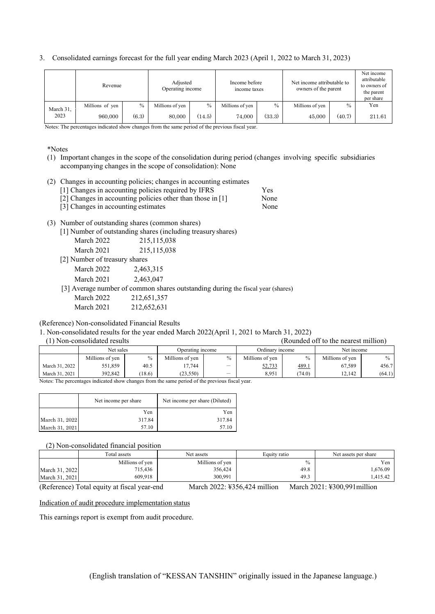#### 3. Consolidated earnings forecast for the full year ending March 2023 (April 1, 2022 to March 31, 2023)

|           | Revenue         |               | Adjusted<br>Operating income |        | Income before<br>income taxes |        | Net income attributable to<br>owners of the parent |               | Net income<br>attributable<br>to owners of<br>the parent<br>per share |
|-----------|-----------------|---------------|------------------------------|--------|-------------------------------|--------|----------------------------------------------------|---------------|-----------------------------------------------------------------------|
| March 31, | Millions of yen | $\frac{0}{0}$ | Millions of yen              | $\%$   | Millions of yen               | $\%$   | Millions of yen                                    | $\frac{0}{0}$ | Yen                                                                   |
| 2023      | 960,000         | (6.3)         | 80,000                       | (14.5) | 74,000                        | (33.3) | 45,000                                             | (40.7)        | 211.61                                                                |

Notes: The percentages indicated show changes from the same period of the previous fiscal year.

#### \*Notes

- (1) Important changes in the scope of the consolidation during period (changes involving specific subsidiaries accompanying changes in the scope of consolidation): None
- (2) Changes in accounting policies; changes in accounting estimates
	- [1] Changes in accounting policies required by IFRS Yes
	- [2] Changes in accounting policies other than those in [1] None

| [3] Changes in accounting estimates | None. |
|-------------------------------------|-------|
|-------------------------------------|-------|

#### (3) Number of outstanding shares (common shares)

|  |  |  | [1] Number of outstanding shares (including treasury shares) |  |
|--|--|--|--------------------------------------------------------------|--|
|  |  |  |                                                              |  |

| March 2022 | 215, 115, 038 |
|------------|---------------|
| March 2021 | 215, 115, 038 |
| $\cdots$   |               |

[2] Number of treasury shares

March 2022 2,463,315

March 2021 2,463,047

[3] Average number of common shares outstanding during the fiscal year (shares)

| March 2022 | 212,651,357 |
|------------|-------------|
| March 2021 | 212,652,631 |

(Reference) Non-consolidated Financial Results

1. Non-consolidated results for the year ended March 2022(April 1, 2021 to March 31, 2022)

(1) Non-consolidated results (Rounded off to the nearest million)

|                                                                                                | Net sales       |               | Operating income |                          | Ordinary income |        | Net income      |               |
|------------------------------------------------------------------------------------------------|-----------------|---------------|------------------|--------------------------|-----------------|--------|-----------------|---------------|
|                                                                                                | Millions of yen | $\frac{0}{0}$ | Millions of yen  | $\frac{0}{0}$            | Millions of yen | $\%$   | Millions of yen | $\frac{0}{0}$ |
| March 31, 2022                                                                                 | 551,859         | 40.5          | 17.744           | $\overline{\phantom{a}}$ | 52,733          | 489.1  | 67.589          | 456.7         |
| March 31, 2021                                                                                 | 392,842         | (18.6)        | (23.550)         | $\overline{\phantom{0}}$ | 8.951           | (74.0) | 12.142          | (64.1)        |
| Notes: The perceptages indicated show changes from the same period of the previous fiscal year |                 |               |                  |                          |                 |        |                 |               |

nges from the same period of the previous fi

|                | Net income per share | Net income per share (Diluted) |
|----------------|----------------------|--------------------------------|
|                | Yen                  | Yen                            |
| March 31, 2022 | 317.84               | 317.84                         |
| March 31, 2021 | 57.10                |                                |

(2) Non-consolidated financial position

|                | Total assets    | Net assets      | Equity ratio | Net assets per share |
|----------------|-----------------|-----------------|--------------|----------------------|
|                | Millions of yen | Millions of yen | $\%$         | Yen                  |
| March 31, 2022 | 715,436         | 356,424         | 49.8         | .676.09              |
| March 31, 2021 | 609,918         | 300.991         | 49.3         | .415.42              |

(Reference) Total equity at fiscal year-end March 2022: ¥356,424 million March 2021: ¥300,991million

Indication of audit procedure implementation status

This earnings report is exempt from audit procedure.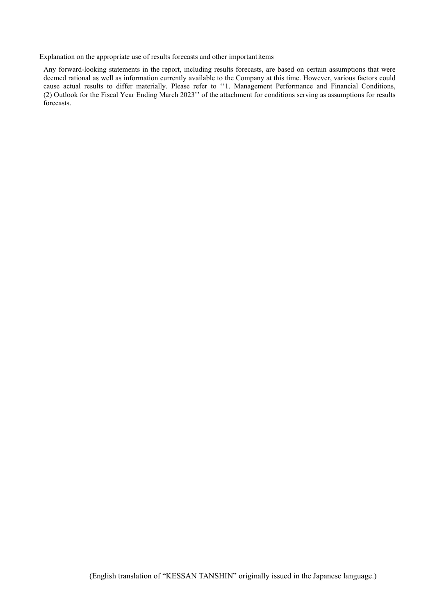#### Explanation on the appropriate use of results forecasts and other importantitems

Any forward-looking statements in the report, including results forecasts, are based on certain assumptions that were deemed rational as well as information currently available to the Company at this time. However, various factors could cause actual results to differ materially. Please refer to ''1. Management Performance and Financial Conditions, (2) Outlook for the Fiscal Year Ending March 2023'' of the attachment for conditions serving as assumptions for results forecasts.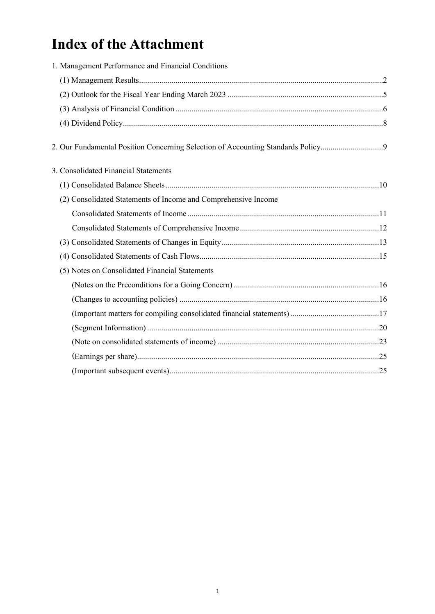# **Index of the Attachment**

| 1. Management Performance and Financial Conditions                              |  |
|---------------------------------------------------------------------------------|--|
|                                                                                 |  |
|                                                                                 |  |
|                                                                                 |  |
|                                                                                 |  |
| 2. Our Fundamental Position Concerning Selection of Accounting Standards Policy |  |
| 3. Consolidated Financial Statements                                            |  |
|                                                                                 |  |
| (2) Consolidated Statements of Income and Comprehensive Income                  |  |
|                                                                                 |  |
|                                                                                 |  |
|                                                                                 |  |
|                                                                                 |  |
| (5) Notes on Consolidated Financial Statements                                  |  |
|                                                                                 |  |
|                                                                                 |  |
|                                                                                 |  |
|                                                                                 |  |
|                                                                                 |  |
|                                                                                 |  |
|                                                                                 |  |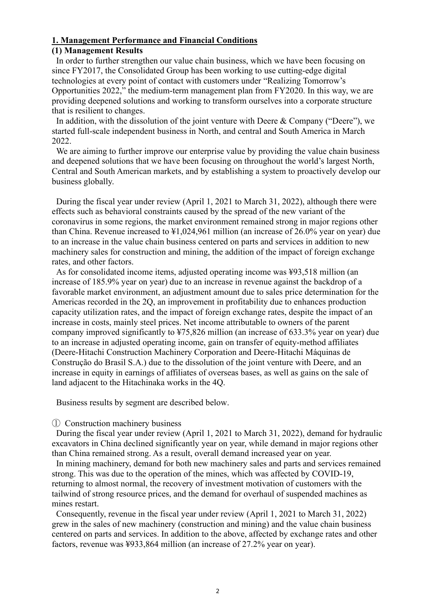#### **1. Management Performance and Financial Conditions**

#### **(1) Management Results**

In order to further strengthen our value chain business, which we have been focusing on since FY2017, the Consolidated Group has been working to use cutting-edge digital technologies at every point of contact with customers under "Realizing Tomorrow's Opportunities 2022," the medium-term management plan from FY2020. In this way, we are providing deepened solutions and working to transform ourselves into a corporate structure that is resilient to changes.

In addition, with the dissolution of the joint venture with Deere  $& Company$  ("Deere"), we started full-scale independent business in North, and central and South America in March 2022.

We are aiming to further improve our enterprise value by providing the value chain business and deepened solutions that we have been focusing on throughout the world's largest North, Central and South American markets, and by establishing a system to proactively develop our business globally.

During the fiscal year under review (April 1, 2021 to March 31, 2022), although there were effects such as behavioral constraints caused by the spread of the new variant of the coronavirus in some regions, the market environment remained strong in major regions other than China. Revenue increased to ¥1,024,961 million (an increase of 26.0% year on year) due to an increase in the value chain business centered on parts and services in addition to new machinery sales for construction and mining, the addition of the impact of foreign exchange rates, and other factors.

As for consolidated income items, adjusted operating income was ¥93,518 million (an increase of 185.9% year on year) due to an increase in revenue against the backdrop of a favorable market environment, an adjustment amount due to sales price determination for the Americas recorded in the 2Q, an improvement in profitability due to enhances production capacity utilization rates, and the impact of foreign exchange rates, despite the impact of an increase in costs, mainly steel prices. Net income attributable to owners of the parent company improved significantly to ¥75,826 million (an increase of 633.3% year on year) due to an increase in adjusted operating income, gain on transfer of equity-method affiliates (Deere-Hitachi Construction Machinery Corporation and Deere-Hitachi Máquinas de Construção do Brasil S.A.) due to the dissolution of the joint venture with Deere, and an increase in equity in earnings of affiliates of overseas bases, as well as gains on the sale of land adjacent to the Hitachinaka works in the 4Q.

Business results by segment are described below.

#### ① Construction machinery business

During the fiscal year under review (April 1, 2021 to March 31, 2022), demand for hydraulic excavators in China declined significantly year on year, while demand in major regions other than China remained strong. As a result, overall demand increased year on year.

In mining machinery, demand for both new machinery sales and parts and services remained strong. This was due to the operation of the mines, which was affected by COVID-19, returning to almost normal, the recovery of investment motivation of customers with the tailwind of strong resource prices, and the demand for overhaul of suspended machines as mines restart.

Consequently, revenue in the fiscal year under review (April 1, 2021 to March 31, 2022) grew in the sales of new machinery (construction and mining) and the value chain business centered on parts and services. In addition to the above, affected by exchange rates and other factors, revenue was ¥933,864 million (an increase of 27.2% year on year).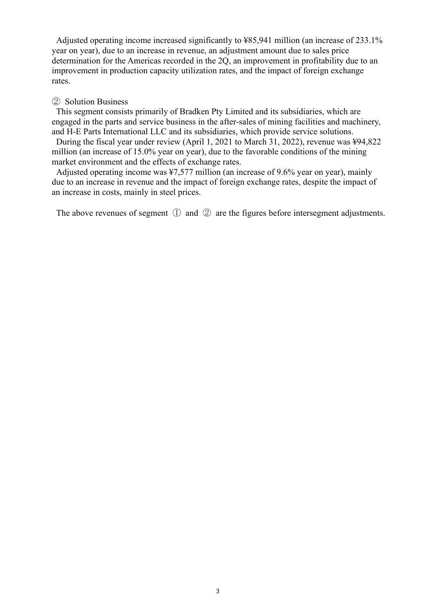Adjusted operating income increased significantly to ¥85,941 million (an increase of 233.1% year on year), due to an increase in revenue, an adjustment amount due to sales price determination for the Americas recorded in the 2Q, an improvement in profitability due to an improvement in production capacity utilization rates, and the impact of foreign exchange rates.

#### ② Solution Business

This segment consists primarily of Bradken Pty Limited and its subsidiaries, which are engaged in the parts and service business in the after-sales of mining facilities and machinery, and H-E Parts International LLC and its subsidiaries, which provide service solutions.

During the fiscal year under review (April 1, 2021 to March 31, 2022), revenue was ¥94,822 million (an increase of 15.0% year on year), due to the favorable conditions of the mining market environment and the effects of exchange rates.

Adjusted operating income was ¥7,577 million (an increase of 9.6% year on year), mainly due to an increase in revenue and the impact of foreign exchange rates, despite the impact of an increase in costs, mainly in steel prices.

The above revenues of segment ① and ② are the figures before intersegment adjustments.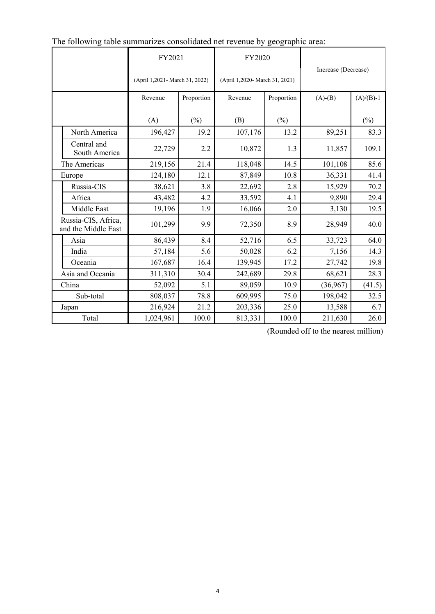|  |                                            | FY2021                          |            | FY2020                         |            |                     |             |
|--|--------------------------------------------|---------------------------------|------------|--------------------------------|------------|---------------------|-------------|
|  |                                            | (April 1,2021 - March 31, 2022) |            | (April 1,2020- March 31, 2021) |            | Increase (Decrease) |             |
|  |                                            | Revenue                         | Proportion | Revenue                        | Proportion | $(A)-(B)$           | $(A)/(B)-1$ |
|  |                                            | (A)                             | (%)        | (B)                            | $(\%)$     |                     | $(\%)$      |
|  | North America                              | 196,427                         | 19.2       | 107,176                        | 13.2       | 89,251              | 83.3        |
|  | Central and<br>South America               | 22,729                          | 2.2        | 10,872                         | 1.3        | 11,857              | 109.1       |
|  | The Americas                               | 219,156                         | 21.4       | 118,048                        | 14.5       | 101,108             | 85.6        |
|  | Europe                                     | 124,180                         | 12.1       | 87,849                         | 10.8       | 36,331              | 41.4        |
|  | Russia-CIS                                 | 38,621                          | 3.8        | 22,692                         | 2.8        | 15,929              | 70.2        |
|  | Africa                                     | 43,482                          | 4.2        | 33,592                         | 4.1        | 9,890               | 29.4        |
|  | Middle East                                | 19,196                          | 1.9        | 16,066                         | 2.0        | 3,130               | 19.5        |
|  | Russia-CIS, Africa,<br>and the Middle East | 101,299                         | 9.9        | 72,350                         | 8.9        | 28,949              | 40.0        |
|  | Asia                                       | 86,439                          | 8.4        | 52,716                         | 6.5        | 33,723              | 64.0        |
|  | India                                      | 57,184                          | 5.6        | 50,028                         | 6.2        | 7,156               | 14.3        |
|  | Oceania                                    | 167,687                         | 16.4       | 139,945                        | 17.2       | 27,742              | 19.8        |
|  | Asia and Oceania                           | 311,310                         | 30.4       | 242,689                        | 29.8       | 68,621              | 28.3        |
|  | China                                      | 52,092                          | 5.1        | 89,059                         | 10.9       | (36,967)            | (41.5)      |
|  | Sub-total                                  | 808,037                         | 78.8       | 609,995                        | 75.0       | 198,042             | 32.5        |
|  | Japan                                      | 216,924                         | 21.2       | 203,336                        | 25.0       | 13,588              | 6.7         |
|  | Total                                      | 1,024,961                       | 100.0      | 813,331                        | 100.0      | 211,630             | 26.0        |

| The following table summarizes consolidated net revenue by geographic area: |  |  |
|-----------------------------------------------------------------------------|--|--|
|                                                                             |  |  |

(Rounded off to the nearest million)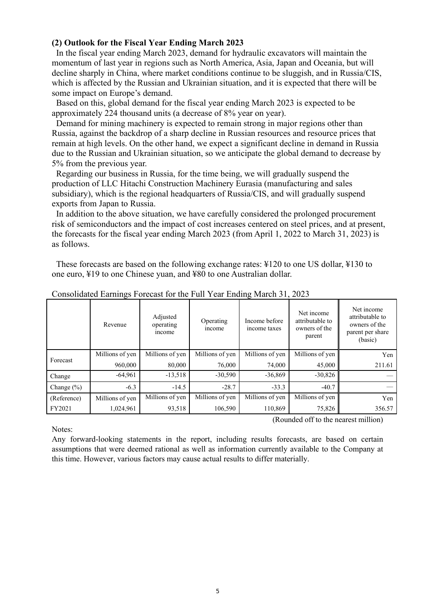#### **(2) Outlook for the Fiscal Year Ending March 2023**

In the fiscal year ending March 2023, demand for hydraulic excavators will maintain the momentum of last year in regions such as North America, Asia, Japan and Oceania, but will decline sharply in China, where market conditions continue to be sluggish, and in Russia/CIS, which is affected by the Russian and Ukrainian situation, and it is expected that there will be some impact on Europe's demand.

Based on this, global demand for the fiscal year ending March 2023 is expected to be approximately 224 thousand units (a decrease of 8% year on year).

Demand for mining machinery is expected to remain strong in major regions other than Russia, against the backdrop of a sharp decline in Russian resources and resource prices that remain at high levels. On the other hand, we expect a significant decline in demand in Russia due to the Russian and Ukrainian situation, so we anticipate the global demand to decrease by 5% from the previous year.

Regarding our business in Russia, for the time being, we will gradually suspend the production of LLC Hitachi Construction Machinery Eurasia (manufacturing and sales subsidiary), which is the regional headquarters of Russia/CIS, and will gradually suspend exports from Japan to Russia.

In addition to the above situation, we have carefully considered the prolonged procurement risk of semiconductors and the impact of cost increases centered on steel prices, and at present, the forecasts for the fiscal year ending March 2023 (from April 1, 2022 to March 31, 2023) is as follows.

These forecasts are based on the following exchange rates: ¥120 to one US dollar, ¥130 to one euro, ¥19 to one Chinese yuan, and ¥80 to one Australian dollar.

|                | Revenue         | Adjusted<br>operating<br>income | Operating<br>income | Income before<br>income taxes | Net income<br>attributable to<br>owners of the<br>parent | Net income<br>attributable to<br>owners of the<br>parent per share<br>(basic) |
|----------------|-----------------|---------------------------------|---------------------|-------------------------------|----------------------------------------------------------|-------------------------------------------------------------------------------|
|                | Millions of yen | Millions of yen                 | Millions of yen     | Millions of yen               | Millions of yen                                          | Yen                                                                           |
| Forecast       | 960,000         | 80,000                          | 76,000              | 74,000                        | 45,000                                                   | 211.61                                                                        |
| Change         | $-64,961$       | $-13,518$                       | $-30,590$           | $-36,869$                     | $-30,826$                                                |                                                                               |
| Change $(\% )$ | $-6.3$          | $-14.5$                         | $-28.7$             | $-33.3$                       | $-40.7$                                                  |                                                                               |
| (Reference)    | Millions of yen | Millions of yen                 | Millions of yen     | Millions of yen               | Millions of yen                                          | Yen                                                                           |
| FY2021         | 1,024,961       | 93,518                          | 106,590             | 110,869                       | 75,826                                                   | 356.57                                                                        |

Consolidated Earnings Forecast for the Full Year Ending March 31, 2023

Notes:

(Rounded off to the nearest million)

Any forward-looking statements in the report, including results forecasts, are based on certain assumptions that were deemed rational as well as information currently available to the Company at this time. However, various factors may cause actual results to differ materially.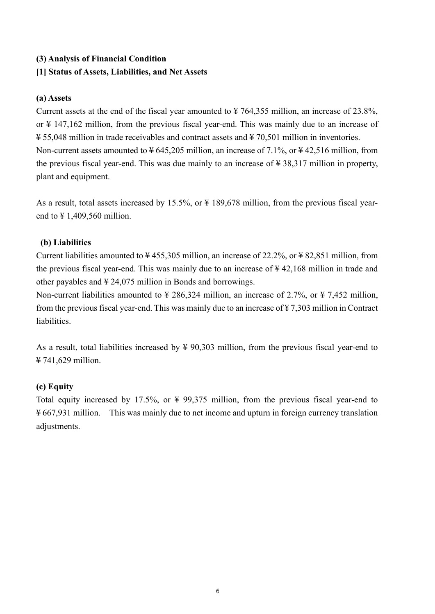## **(3) Analysis of Financial Condition**

### **[1] Status of Assets, Liabilities, and Net Assets**

#### **(a) Assets**

Current assets at the end of the fiscal year amounted to  $\frac{1}{2}$  764,355 million, an increase of 23.8%, or ¥ 147,162 million, from the previous fiscal year-end. This was mainly due to an increase of ¥ 55,048 million in trade receivables and contract assets and ¥ 70,501 million in inventories. Non-current assets amounted to  $\frac{1}{2}$  645,205 million, an increase of 7.1%, or  $\frac{1}{2}$  42,516 million, from the previous fiscal year-end. This was due mainly to an increase of ¥ 38,317 million in property, plant and equipment.

As a result, total assets increased by 15.5%, or  $\frac{1}{2}$  189,678 million, from the previous fiscal yearend to ¥ 1,409,560 million.

#### **(b) Liabilities**

Current liabilities amounted to  $\frac{1}{4}$  455,305 million, an increase of 22.2%, or  $\frac{1}{4}$  82,851 million, from the previous fiscal year-end. This was mainly due to an increase of ¥ 42,168 million in trade and other payables and ¥ 24,075 million in Bonds and borrowings.

Non-current liabilities amounted to  $\frac{1}{286,324}$  million, an increase of 2.7%, or  $\frac{1}{2}$  7,452 million, from the previous fiscal year-end. This was mainly due to an increase of ¥ 7,303 million in Contract liabilities.

As a result, total liabilities increased by  $\frac{1}{2}$  90,303 million, from the previous fiscal year-end to ¥ 741,629 million.

#### **(c) Equity**

Total equity increased by 17.5%, or ¥ 99,375 million, from the previous fiscal year-end to ¥ 667,931 million. This was mainly due to net income and upturn in foreign currency translation adjustments.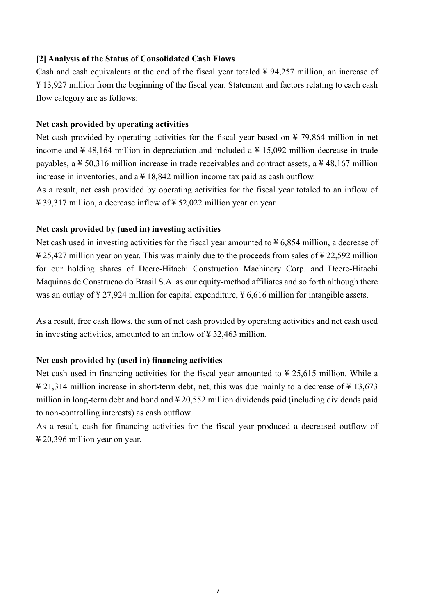#### **[2] Analysis of the Status of Consolidated Cash Flows**

Cash and cash equivalents at the end of the fiscal year totaled  $\frac{1}{2}$  94,257 million, an increase of ¥ 13,927 million from the beginning of the fiscal year. Statement and factors relating to each cash flow category are as follows:

#### **Net cash provided by operating activities**

Net cash provided by operating activities for the fiscal year based on  $\frac{1}{2}$  79,864 million in net income and  $\frac{1}{4}$  48,164 million in depreciation and included a  $\frac{1}{4}$  15,092 million decrease in trade payables, a ¥ 50,316 million increase in trade receivables and contract assets, a ¥ 48,167 million increase in inventories, and  $a \not\equiv 18,842$  million income tax paid as cash outflow.

As a result, net cash provided by operating activities for the fiscal year totaled to an inflow of ¥ 39,317 million, a decrease inflow of ¥ 52,022 million year on year.

#### **Net cash provided by (used in) investing activities**

Net cash used in investing activities for the fiscal year amounted to  $\frac{1}{2}$  6,854 million, a decrease of ¥ 25,427 million year on year. This was mainly due to the proceeds from sales of ¥ 22,592 million for our holding shares of Deere-Hitachi Construction Machinery Corp. and Deere-Hitachi Maquinas de Construcao do Brasil S.A. as our equity-method affiliates and so forth although there was an outlay of ¥ 27,924 million for capital expenditure, ¥ 6,616 million for intangible assets.

As a result, free cash flows, the sum of net cash provided by operating activities and net cash used in investing activities, amounted to an inflow of ¥ 32,463 million.

#### **Net cash provided by (used in) financing activities**

Net cash used in financing activities for the fiscal year amounted to  $\frac{1}{2}$  25,615 million. While a ¥ 21,314 million increase in short-term debt, net, this was due mainly to a decrease of ¥ 13,673 million in long-term debt and bond and ¥ 20,552 million dividends paid (including dividends paid to non-controlling interests) as cash outflow.

As a result, cash for financing activities for the fiscal year produced a decreased outflow of ¥ 20,396 million year on year.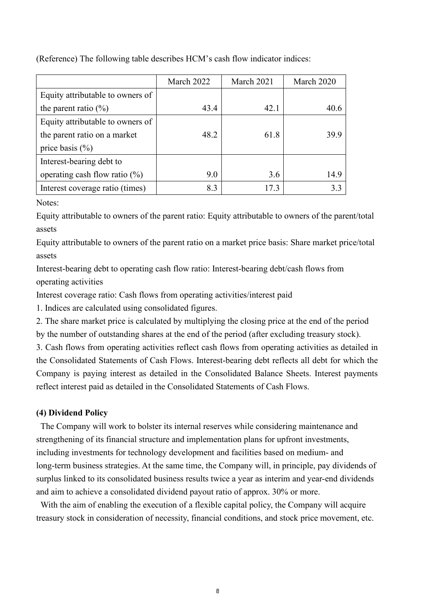|                                  | March 2022 | March 2021 | March 2020 |
|----------------------------------|------------|------------|------------|
| Equity attributable to owners of |            |            |            |
| the parent ratio $(\%)$          | 43.4       | 42.1       | 40.6       |
| Equity attributable to owners of |            |            |            |
| the parent ratio on a market     | 48.2       | 61.8       | 39.9       |
| price basis $(\% )$              |            |            |            |
| Interest-bearing debt to         |            |            |            |
| operating cash flow ratio $(\%)$ | 9.0        | 3.6        | 14.9       |
| Interest coverage ratio (times)  | 8.3        | 17.3       | 3.3        |

(Reference) The following table describes HCM's cash flow indicator indices:

Notes:

Equity attributable to owners of the parent ratio: Equity attributable to owners of the parent/total assets

Equity attributable to owners of the parent ratio on a market price basis: Share market price/total assets

Interest-bearing debt to operating cash flow ratio: Interest-bearing debt/cash flows from operating activities

Interest coverage ratio: Cash flows from operating activities/interest paid

1. Indices are calculated using consolidated figures.

2. The share market price is calculated by multiplying the closing price at the end of the period by the number of outstanding shares at the end of the period (after excluding treasury stock).

3. Cash flows from operating activities reflect cash flows from operating activities as detailed in the Consolidated Statements of Cash Flows. Interest-bearing debt reflects all debt for which the Company is paying interest as detailed in the Consolidated Balance Sheets. Interest payments reflect interest paid as detailed in the Consolidated Statements of Cash Flows.

#### **(4) Dividend Policy**

The Company will work to bolster its internal reserves while considering maintenance and strengthening of its financial structure and implementation plans for upfront investments, including investments for technology development and facilities based on medium- and long-term business strategies. At the same time, the Company will, in principle, pay dividends of surplus linked to its consolidated business results twice a year as interim and year-end dividends and aim to achieve a consolidated dividend payout ratio of approx. 30% or more.

With the aim of enabling the execution of a flexible capital policy, the Company will acquire treasury stock in consideration of necessity, financial conditions, and stock price movement, etc.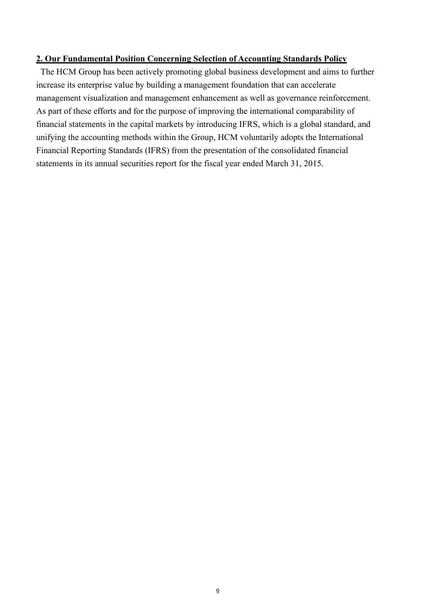#### **2. Our Fundamental Position Concerning Selection of Accounting Standards Policy**

The HCM Group has been actively promoting global business development and aims to further increase its enterprise value by building a management foundation that can accelerate management visualization and management enhancement as well as governance reinforcement. As part of these efforts and for the purpose of improving the international comparability of financial statements in the capital markets by introducing IFRS, which is a global standard, and unifying the accounting methods within the Group, HCM voluntarily adopts the International Financial Reporting Standards (IFRS) from the presentation of the consolidated financial statements in its annual securities report for the fiscal year ended March 31, 2015.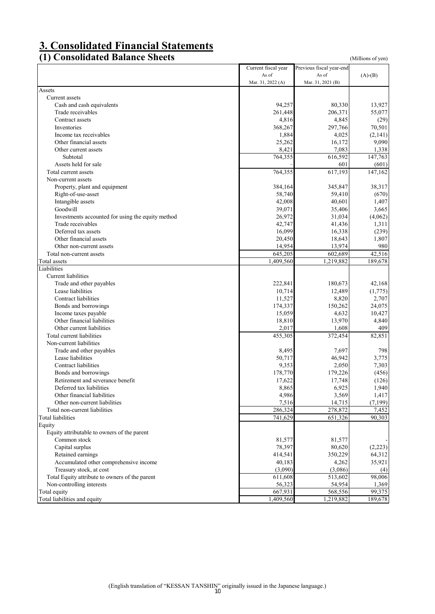# **3. Consolidated Financial Statements**

### **(1) Consolidated Balance Sheets** (Millions of yen)

|                                                   | Current fiscal year | Previous fiscal year-end |                 |
|---------------------------------------------------|---------------------|--------------------------|-----------------|
|                                                   | As of               | As of                    | $(A)-(B)$       |
|                                                   | Mar. 31, 2022 (A)   | Mar. 31, 2021 (B)        |                 |
| Assets                                            |                     |                          |                 |
| Current assets                                    |                     |                          |                 |
| Cash and cash equivalents                         | 94,257              | 80,330                   | 13,927          |
| Trade receivables                                 | 261,448             | 206,371                  | 55,077          |
| Contract assets                                   | 4,816               | 4,845                    | (29)            |
| Inventories                                       | 368,267             | 297,766                  | 70,501          |
| Income tax receivables                            | 1,884               | 4,025                    | (2,141)         |
| Other financial assets                            | 25,262              | 16,172                   | 9,090           |
| Other current assets                              | 8,421               | 7,083                    | 1,338           |
| Subtotal                                          | 764,355             | 616,592                  | 147,763         |
| Assets held for sale                              |                     | 601                      | (601)           |
| Total current assets                              | 764,355             | 617,193                  | 147,162         |
| Non-current assets                                |                     |                          |                 |
| Property, plant and equipment                     | 384,164             | 345,847                  | 38,317          |
| Right-of-use-asset                                | 58,740              | 59,410                   | (670)           |
| Intangible assets                                 | 42,008              | 40,601                   | 1,407           |
| Goodwill                                          | 39,071              | 35,406                   | 3,665           |
| Investments accounted for using the equity method | 26,972              | 31,034                   | (4,062)         |
| Trade receivables                                 | 42,747              | 41,436                   | 1,311           |
| Deferred tax assets                               | 16,099              | 16,338                   | (239)           |
| Other financial assets                            | 20,450              | 18,643                   | 1,807           |
| Other non-current assets                          | 14,954              | 13,974                   | 980             |
| Total non-current assets                          | 645,205             | 602,689                  | 42,516          |
| Total assets                                      | 1,409,560           | 1,219,882                | 189,678         |
| Liabilities                                       |                     |                          |                 |
| Current liabilities                               |                     |                          |                 |
| Trade and other payables                          | 222,841             | 180,673                  | 42,168          |
| Lease liabilities                                 | 10,714              | 12,489                   | (1,775)         |
| Contract liabilities                              | 11,527              | 8,820                    | 2,707           |
| Bonds and borrowings                              | 174,337             | 150,262                  | 24,075          |
| Income taxes payable                              | 15,059              | 4,632                    | 10,427          |
| Other financial liabilities                       | 18,810              | 13,970                   | 4,840           |
| Other current liabilities                         | 2,017               | 1,608                    | 409             |
| Total current liabilities                         | 455,305             | 372,454                  | 82,851          |
| Non-current liabilities                           |                     |                          |                 |
| Trade and other payables                          | 8,495               | 7,697                    | 798             |
| Lease liabilities                                 | 50,717              | 46,942                   | 3,775           |
| Contract liabilities                              | 9,353               | 2,050                    | 7,303           |
| Bonds and borrowings                              | 178,770             | 179,226                  | (456)           |
| Retirement and severance benefit                  | 17,622              | 17,748                   | (126)           |
| Deferred tax liabilities                          | 8,865               | 6,925                    | 1,940           |
| Other financial liabilities                       | 4,986               | 3,569                    | 1,417           |
| Other non-current liabilities                     | 7,516               | 14,715                   | (7, 199)        |
| Total non-current liabilities                     | 286,324             | 278,872                  |                 |
| <b>Total liabilities</b>                          | 741,629             | 651,326                  | 7,452<br>90,303 |
| Equity                                            |                     |                          |                 |
|                                                   |                     |                          |                 |
| Equity attributable to owners of the parent       |                     |                          |                 |
| Common stock                                      | 81,577<br>78,397    | 81,577<br>80,620         | (2,223)         |
| Capital surplus                                   |                     |                          |                 |
| Retained earnings                                 | 414,541             | 350,229                  | 64,312          |
| Accumulated other comprehensive income            | 40,183              | 4,262                    | 35,921          |
| Treasury stock, at cost                           | (3,090)             | (3,086)                  | (4)             |
| Total Equity attribute to owners of the parent    | 611,608             | 513,602                  | 98,006          |
| Non-controlling interests                         | 56,323              | 54,954                   | 1,369           |
| Total equity                                      | 667,931             | 568,556                  | 99,375          |
| Total liabilities and equity                      | 1,409,560           | 1,219,882                | 189,678         |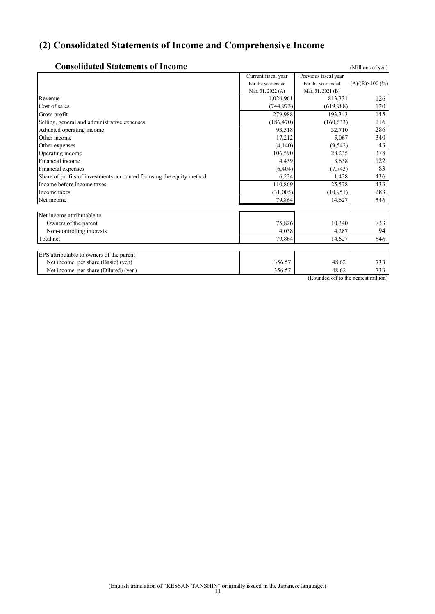# **(2) Consolidated Statements of Income and Comprehensive Income**

| <b>Consolidated Statements of Income</b>                              |                     |                                      | (Millions of yen)       |
|-----------------------------------------------------------------------|---------------------|--------------------------------------|-------------------------|
|                                                                       | Current fiscal year | Previous fiscal year                 |                         |
|                                                                       | For the year ended  | For the year ended                   | $(A)/(B)\times 100$ (%) |
|                                                                       | Mar. 31, 2022 (A)   | Mar. 31, 2021 (B)                    |                         |
| Revenue                                                               | 1,024,961           | 813.331                              | 126                     |
| Cost of sales                                                         | (744, 973)          | (619,988)                            | 120                     |
| Gross profit                                                          | 279,988             | 193,343                              | 145                     |
| Selling, general and administrative expenses                          | (186, 470)          | (160, 633)                           | 116                     |
| Adjusted operating income                                             | 93,518              | 32,710                               | 286                     |
| Other income                                                          | 17,212              | 5,067                                | 340                     |
| Other expenses                                                        | (4,140)             | (9, 542)                             | 43                      |
| Operating income                                                      | 106,590             | 28,235                               | 378                     |
| Financial income                                                      | 4,459               | 3,658                                | 122                     |
| Financial expenses                                                    | (6, 404)            | (7, 743)                             | 83                      |
| Share of profits of investments accounted for using the equity method | 6,224               | 1,428                                | 436                     |
| Income before income taxes                                            | 110,869             | 25,578                               | 433                     |
| Income taxes                                                          | (31,005)            | (10, 951)                            | 283                     |
| Net income                                                            | 79,864              | 14,627                               | 546                     |
| Net income attributable to                                            |                     |                                      |                         |
| Owners of the parent                                                  | 75,826              | 10,340                               | 733                     |
| Non-controlling interests                                             | 4,038               | 4,287                                | 94                      |
| Total net                                                             | 79,864              | 14.627                               | 546                     |
|                                                                       |                     |                                      |                         |
| EPS attributable to owners of the parent                              |                     |                                      |                         |
| Net income per share (Basic) (yen)                                    | 356.57              | 48.62                                | 733                     |
| Net income per share (Diluted) (yen)                                  | 356.57              | 48.62                                | 733                     |
|                                                                       |                     | (Rounded off to the nearest million) |                         |

(English translation of "KESSAN TANSHIN" originally issued in the Japanese language.) 11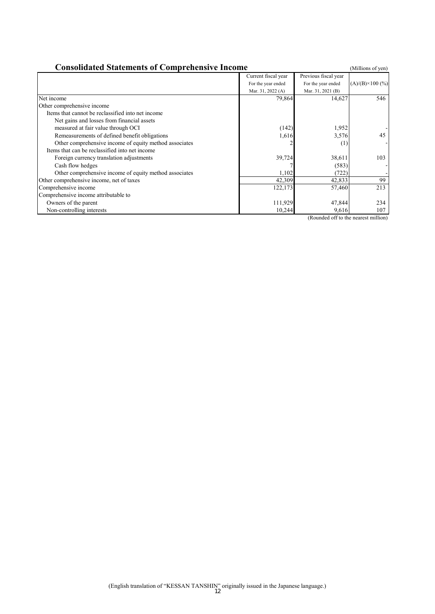| <b>Consolidated Statements of Comprehensive Income</b><br>(Millions of yen) |                     |                      |                          |  |  |
|-----------------------------------------------------------------------------|---------------------|----------------------|--------------------------|--|--|
|                                                                             | Current fiscal year | Previous fiscal year |                          |  |  |
|                                                                             | For the year ended  | For the year ended   | $(A)/(B) \times 100$ (%) |  |  |
|                                                                             | Mar. 31, 2022 (A)   | Mar. 31, 2021 (B)    |                          |  |  |
| Net income                                                                  | 79,864              | 14,627               | 546                      |  |  |
| Other comprehensive income                                                  |                     |                      |                          |  |  |
| Items that cannot be reclassified into net income                           |                     |                      |                          |  |  |
| Net gains and losses from financial assets                                  |                     |                      |                          |  |  |
| measured at fair value through OCI                                          | (142)               | 1,952                |                          |  |  |
| Remeasurements of defined benefit obligations                               | 1,616               | 3,576                | 45                       |  |  |
| Other comprehensive income of equity method associates                      |                     | (1)                  |                          |  |  |
| Items that can be reclassified into net income                              |                     |                      |                          |  |  |
| Foreign currency translation adjustments                                    | 39,724              | 38,611               | 103                      |  |  |
| Cash flow hedges                                                            |                     | (583)                |                          |  |  |
| Other comprehensive income of equity method associates                      | 1,102               | (722)                |                          |  |  |
| Other comprehensive income, net of taxes                                    | 42,309              | 42,833               | 99                       |  |  |
| Comprehensive income                                                        | 122,173             | 57,460               | 213                      |  |  |
| Comprehensive income attributable to                                        |                     |                      |                          |  |  |
| Owners of the parent                                                        | 111,929             | 47,844               | 234                      |  |  |
| Non-controlling interests                                                   | 10,244              | 9,616                | 107                      |  |  |

(Rounded off to the nearest million)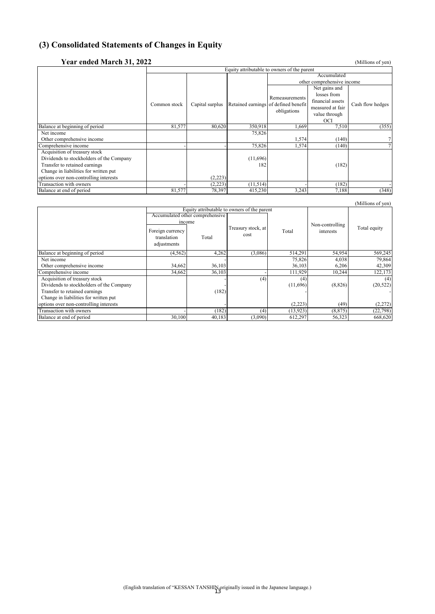# **(3) Consolidated Statements of Changes in Equity**

| Year ended March 31, 2022                |                                             |                 |          |                                      |                            | (Millions of yen) |  |
|------------------------------------------|---------------------------------------------|-----------------|----------|--------------------------------------|----------------------------|-------------------|--|
|                                          | Equity attributable to owners of the parent |                 |          |                                      |                            |                   |  |
|                                          |                                             |                 |          |                                      |                            |                   |  |
|                                          |                                             |                 |          |                                      | other comprehensive income |                   |  |
|                                          |                                             |                 |          |                                      | Net gains and              |                   |  |
|                                          |                                             |                 |          | Remeasurements                       | losses from                |                   |  |
|                                          | Common stock                                |                 |          | Retained earnings of defined benefit | financial assets           | Cash flow hedges  |  |
|                                          |                                             | Capital surplus |          |                                      | measured at fair           |                   |  |
|                                          |                                             |                 |          | obligations                          | value through              |                   |  |
|                                          |                                             |                 |          |                                      | OCI                        |                   |  |
| Balance at beginning of period           | 81,577                                      | 80,620          | 350,918  | 1,669                                | 7,510                      | (355)             |  |
| Net income                               |                                             |                 | 75,826   |                                      |                            |                   |  |
| Other comprehensive income               |                                             |                 |          | 1,574                                | (140)                      |                   |  |
| Comprehensive income                     |                                             |                 | 75,826   | 1,574                                | (140)                      |                   |  |
| Acquisition of treasury stock            |                                             |                 |          |                                      |                            |                   |  |
| Dividends to stockholders of the Company |                                             |                 | (11,696) |                                      |                            |                   |  |
| Transfer to retained earnings            |                                             |                 | 182      |                                      | (182)                      |                   |  |
| Change in liabilities for written put    |                                             |                 |          |                                      |                            |                   |  |
| options over non-controlling interests   |                                             | (2,223)         |          |                                      |                            |                   |  |
| Transaction with owners                  |                                             | (2,223)         | (11,514) |                                      | (182)                      |                   |  |
| Balance at end of period                 | 81,577                                      | 78,397          | 415,230  | 3,243                                | 7,188                      | (348)             |  |

|                                          |                                                |                                             |                            |           |                 | (Millions of yen) |
|------------------------------------------|------------------------------------------------|---------------------------------------------|----------------------------|-----------|-----------------|-------------------|
|                                          |                                                | Equity attributable to owners of the parent |                            |           |                 |                   |
|                                          |                                                | Accumulated other comprehensive             |                            |           |                 |                   |
|                                          | income                                         |                                             |                            |           | Non-controlling |                   |
|                                          | Foreign currency<br>translation<br>adjustments | Total                                       | Treasury stock, at<br>cost | Total     | interests       | Total equity      |
| Balance at beginning of period           | (4, 562)                                       | 4,262                                       | (3,086)                    | 514,291   | 54,954          | 569,245           |
| Net income                               |                                                |                                             |                            | 75,826    | 4,038           | 79,864            |
| Other comprehensive income               | 34,662                                         | 36,103                                      |                            | 36,103    | 6,206           | 42,309            |
| Comprehensive income                     | 34,662                                         | 36,103                                      |                            | 111,929   | 10,244          | 122,173           |
| Acquisition of treasury stock            |                                                |                                             | (4)                        | (4)       |                 | (4)               |
| Dividends to stockholders of the Company |                                                |                                             |                            | (11,696)  | (8,826)         | (20, 522)         |
| Transfer to retained earnings            |                                                | (182)                                       |                            |           |                 |                   |
| Change in liabilities for written put    |                                                |                                             |                            |           |                 |                   |
| options over non-controlling interests   |                                                |                                             |                            | (2,223)   | (49)            | (2,272)           |
| Transaction with owners                  |                                                | (182)                                       | (4)                        | (13, 923) | (8, 875)        | (22, 798)         |
| Balance at end of period                 | 30,100                                         | 40,183                                      | (3,090)                    | 612,297   | 56,323          | 668,620           |

# (English translation of "KESSAN TANSHIN originally issued in the Japanese language.) 13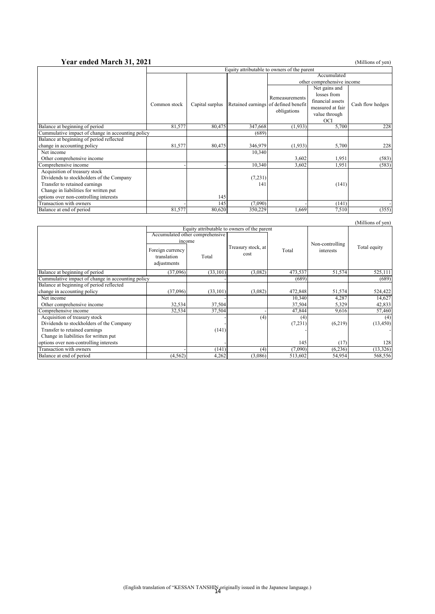#### **Year ended March 31, 2021** (Millions of yen)

|                                                   | Equity attributable to owners of the parent |                 |                                      |                            |                  |                  |
|---------------------------------------------------|---------------------------------------------|-----------------|--------------------------------------|----------------------------|------------------|------------------|
|                                                   |                                             |                 |                                      |                            |                  |                  |
|                                                   |                                             |                 |                                      | other comprehensive income |                  |                  |
|                                                   |                                             |                 |                                      |                            | Net gains and    |                  |
|                                                   |                                             |                 |                                      | Remeasurements             | losses from      |                  |
|                                                   |                                             |                 |                                      |                            | financial assets |                  |
|                                                   | Common stock                                | Capital surplus | Retained earnings of defined benefit |                            | measured at fair | Cash flow hedges |
|                                                   |                                             |                 |                                      | obligations                | value through    |                  |
|                                                   |                                             |                 |                                      |                            | <b>OCI</b>       |                  |
| Balance at beginning of period                    | 81,577                                      | 80,475          | 347,668                              | (1,933)                    | 5,700            | 228              |
| Cummulative impact of change in accounting policy |                                             |                 | (689)                                |                            |                  |                  |
| Balance at beginning of period reflected          |                                             |                 |                                      |                            |                  |                  |
| change in accounting policy                       | 81,577                                      | 80,475          | 346,979                              | (1,933)                    | 5,700            | 228              |
| Net income                                        |                                             |                 | 10,340                               |                            |                  |                  |
| Other comprehensive income                        |                                             |                 |                                      | 3,602                      | 1,951            | (583)            |
| Comprehensive income                              |                                             |                 | 10,340                               | 3,602                      | 1,951            | (583)            |
| Acquisition of treasury stock                     |                                             |                 |                                      |                            |                  |                  |
| Dividends to stockholders of the Company          |                                             |                 | (7,231)                              |                            |                  |                  |
| Transfer to retained earnings                     |                                             |                 | 141                                  |                            | (141)            |                  |
| Change in liabilities for written put             |                                             |                 |                                      |                            |                  |                  |
| options over non-controlling interests            |                                             | 145             |                                      |                            |                  |                  |
| Transaction with owners                           |                                             | 145             | (7,090)                              |                            | (141)            |                  |
| Balance at end of period                          | 81,577                                      | 80,620          | 350,229                              | 1,669                      | 7,510            | (355)            |

|                                                   |                                                |                                 |                                             |         |                 | (Millions of yen) |
|---------------------------------------------------|------------------------------------------------|---------------------------------|---------------------------------------------|---------|-----------------|-------------------|
|                                                   |                                                |                                 | Equity attributable to owners of the parent |         |                 |                   |
|                                                   |                                                | Accumulated other comprehensive |                                             |         |                 |                   |
|                                                   | income                                         |                                 |                                             |         | Non-controlling |                   |
|                                                   | Foreign currency<br>translation<br>adjustments | Total                           | Treasury stock, at<br>cost                  | Total   | interests       | Total equity      |
| Balance at beginning of period                    | (37,096)                                       | (33, 101)                       | (3,082)                                     | 473,537 | 51,574          | 525,111           |
| Cummulative impact of change in accounting policy |                                                |                                 |                                             | (689)   |                 | (689)             |
| Balance at beginning of period reflected          |                                                |                                 |                                             |         |                 |                   |
| change in accounting policy                       | (37,096)                                       | (33,101)                        | (3,082)                                     | 472,848 | 51,574          | 524,422           |
| Net income                                        |                                                |                                 |                                             | 10,340  | 4,287           | 14,627            |
| Other comprehensive income                        | 32,534                                         | 37,504                          |                                             | 37,504  | 5,329           | 42,833            |
| Comprehensive income                              | 32,534                                         | 37,504                          |                                             | 47,844  | 9.616           | 57,460            |
| Acquisition of treasury stock                     |                                                |                                 | (4)                                         | (4)     |                 | (4)               |
| Dividends to stockholders of the Company          |                                                |                                 |                                             | (7,231) | (6,219)         | (13, 450)         |
| Transfer to retained earnings                     |                                                | (141)                           |                                             |         |                 |                   |
| Change in liabilities for written put             |                                                |                                 |                                             |         |                 |                   |
| options over non-controlling interests            |                                                |                                 |                                             | 145     | (17)            | 128               |
| Transaction with owners                           |                                                | (141)                           | (4)                                         | (7,090) | (6,236)         | (13, 326)         |
| Balance at end of period                          | (4, 562)                                       | 4,262                           | (3,086)                                     | 513,602 | 54,954          | 568,556           |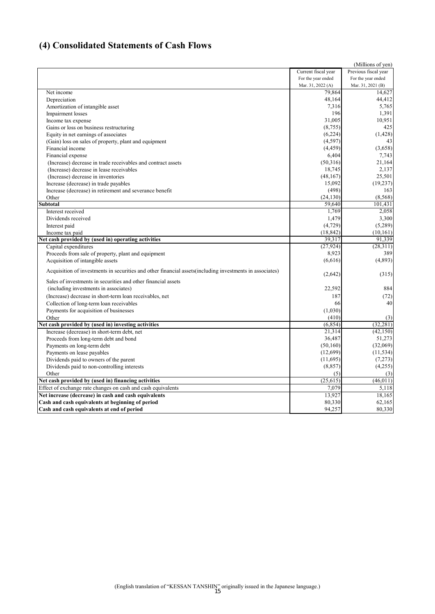# **(4) Consolidated Statements of Cash Flows**

| Current fiscal year<br>Previous fiscal year<br>For the year ended<br>For the year ended<br>Mar. 31, 2021 (B)<br>Mar. 31, 2022 (A)<br>Net income<br>79.864<br>14.627<br>48.164<br>Depreciation<br>7,316<br>Amortization of intangible asset<br>196<br>1,391<br>Impairment losses<br>31.005<br>10,951<br>Income tax expense<br>(8,755)<br>425<br>Gains or loss on business restructuring<br>Equity in net earnings of associates<br>(6,224)<br>(1, 428)<br>(4,597)<br>43<br>(Gain) loss on sales of property, plant and equipment<br>(4, 459)<br>Financial income<br>(3,658)<br>6,404<br>Financial expense<br>7,743<br>(50,316)<br>21,164<br>(Increase) decrease in trade receivables and contract assets<br>18,745<br>2,137<br>(Increase) decrease in lease receivables<br>(48, 167)<br>25,501<br>(Increase) decrease in inventories<br>15,092<br>(19, 237)<br>Increase (decrease) in trade payables<br>(498)<br>Increase (decrease) in retirement and severance benefit<br>163<br>(24, 130)<br>(8, 568)<br>Other<br><b>Subtotal</b><br>59,640<br>101,431<br>1,769<br>Interest received<br>1,479<br>3,300<br>Dividends received<br>(4,729)<br>(5,289)<br>Interest paid<br>(18, 842)<br>(10, 161)<br>Income tax paid<br>39,317<br>Net cash provided by (used in) operating activities<br>91,339<br>Capital expenditures<br>(27, 924)<br>(28,311)<br>8,923<br>389<br>Proceeds from sale of property, plant and equipment<br>(4,893)<br>Acquisition of intangible assets<br>(6,616)<br>Acquisition of investments in securities and other financial assets (including investments in associates)<br>(2,642)<br>Sales of investments in securities and other financial assets<br>(including investments in associates)<br>22,592<br>884<br>(Increase) decrease in short-term loan receivables, net<br>187<br>40<br>66<br>Collection of long-term loan receivables<br>(1,030)<br>Payments for acquisition of businesses<br>Other<br>(410)<br>(3)<br>Net cash provided by (used in) investing activities<br>(6, 854)<br>(32, 281)<br>Increase (decrease) in short-term debt, net<br>21,314<br>(42, 150)<br>36,487<br>Proceeds from long-term debt and bond<br>(32,069)<br>Payments on long-term debt<br>(50,160)<br>(12,699)<br>(11, 534)<br>Payments on lease payables<br>(11,695)<br>Dividends paid to owners of the parent<br>(7,273)<br>(8, 857)<br>(4,255)<br>Dividends paid to non-controlling interests<br>(5)<br>Other<br>(3)<br>Net cash provided by (used in) financing activities<br>(25, 615)<br>Effect of exchange rate changes on cash and cash equivalents<br>7,079<br>5,118<br>Net increase (decrease) in cash and cash equivalents<br>13.927<br>Cash and cash equivalents at beginning of period<br>80,330<br>94,257<br>Cash and cash equivalents at end of period |  | (Millions of yen) |
|------------------------------------------------------------------------------------------------------------------------------------------------------------------------------------------------------------------------------------------------------------------------------------------------------------------------------------------------------------------------------------------------------------------------------------------------------------------------------------------------------------------------------------------------------------------------------------------------------------------------------------------------------------------------------------------------------------------------------------------------------------------------------------------------------------------------------------------------------------------------------------------------------------------------------------------------------------------------------------------------------------------------------------------------------------------------------------------------------------------------------------------------------------------------------------------------------------------------------------------------------------------------------------------------------------------------------------------------------------------------------------------------------------------------------------------------------------------------------------------------------------------------------------------------------------------------------------------------------------------------------------------------------------------------------------------------------------------------------------------------------------------------------------------------------------------------------------------------------------------------------------------------------------------------------------------------------------------------------------------------------------------------------------------------------------------------------------------------------------------------------------------------------------------------------------------------------------------------------------------------------------------------------------------------------------------------------------------------------------------------------------------------------------------------------------------------------------------------------------------------------------------------------------------------------------------------------------------------------------------------------------------------------------------------------------------------------------------------------------------------------------------------------|--|-------------------|
|                                                                                                                                                                                                                                                                                                                                                                                                                                                                                                                                                                                                                                                                                                                                                                                                                                                                                                                                                                                                                                                                                                                                                                                                                                                                                                                                                                                                                                                                                                                                                                                                                                                                                                                                                                                                                                                                                                                                                                                                                                                                                                                                                                                                                                                                                                                                                                                                                                                                                                                                                                                                                                                                                                                                                                              |  |                   |
|                                                                                                                                                                                                                                                                                                                                                                                                                                                                                                                                                                                                                                                                                                                                                                                                                                                                                                                                                                                                                                                                                                                                                                                                                                                                                                                                                                                                                                                                                                                                                                                                                                                                                                                                                                                                                                                                                                                                                                                                                                                                                                                                                                                                                                                                                                                                                                                                                                                                                                                                                                                                                                                                                                                                                                              |  |                   |
|                                                                                                                                                                                                                                                                                                                                                                                                                                                                                                                                                                                                                                                                                                                                                                                                                                                                                                                                                                                                                                                                                                                                                                                                                                                                                                                                                                                                                                                                                                                                                                                                                                                                                                                                                                                                                                                                                                                                                                                                                                                                                                                                                                                                                                                                                                                                                                                                                                                                                                                                                                                                                                                                                                                                                                              |  |                   |
|                                                                                                                                                                                                                                                                                                                                                                                                                                                                                                                                                                                                                                                                                                                                                                                                                                                                                                                                                                                                                                                                                                                                                                                                                                                                                                                                                                                                                                                                                                                                                                                                                                                                                                                                                                                                                                                                                                                                                                                                                                                                                                                                                                                                                                                                                                                                                                                                                                                                                                                                                                                                                                                                                                                                                                              |  |                   |
|                                                                                                                                                                                                                                                                                                                                                                                                                                                                                                                                                                                                                                                                                                                                                                                                                                                                                                                                                                                                                                                                                                                                                                                                                                                                                                                                                                                                                                                                                                                                                                                                                                                                                                                                                                                                                                                                                                                                                                                                                                                                                                                                                                                                                                                                                                                                                                                                                                                                                                                                                                                                                                                                                                                                                                              |  | 44,412            |
|                                                                                                                                                                                                                                                                                                                                                                                                                                                                                                                                                                                                                                                                                                                                                                                                                                                                                                                                                                                                                                                                                                                                                                                                                                                                                                                                                                                                                                                                                                                                                                                                                                                                                                                                                                                                                                                                                                                                                                                                                                                                                                                                                                                                                                                                                                                                                                                                                                                                                                                                                                                                                                                                                                                                                                              |  | 5,765             |
|                                                                                                                                                                                                                                                                                                                                                                                                                                                                                                                                                                                                                                                                                                                                                                                                                                                                                                                                                                                                                                                                                                                                                                                                                                                                                                                                                                                                                                                                                                                                                                                                                                                                                                                                                                                                                                                                                                                                                                                                                                                                                                                                                                                                                                                                                                                                                                                                                                                                                                                                                                                                                                                                                                                                                                              |  |                   |
|                                                                                                                                                                                                                                                                                                                                                                                                                                                                                                                                                                                                                                                                                                                                                                                                                                                                                                                                                                                                                                                                                                                                                                                                                                                                                                                                                                                                                                                                                                                                                                                                                                                                                                                                                                                                                                                                                                                                                                                                                                                                                                                                                                                                                                                                                                                                                                                                                                                                                                                                                                                                                                                                                                                                                                              |  |                   |
|                                                                                                                                                                                                                                                                                                                                                                                                                                                                                                                                                                                                                                                                                                                                                                                                                                                                                                                                                                                                                                                                                                                                                                                                                                                                                                                                                                                                                                                                                                                                                                                                                                                                                                                                                                                                                                                                                                                                                                                                                                                                                                                                                                                                                                                                                                                                                                                                                                                                                                                                                                                                                                                                                                                                                                              |  |                   |
|                                                                                                                                                                                                                                                                                                                                                                                                                                                                                                                                                                                                                                                                                                                                                                                                                                                                                                                                                                                                                                                                                                                                                                                                                                                                                                                                                                                                                                                                                                                                                                                                                                                                                                                                                                                                                                                                                                                                                                                                                                                                                                                                                                                                                                                                                                                                                                                                                                                                                                                                                                                                                                                                                                                                                                              |  |                   |
|                                                                                                                                                                                                                                                                                                                                                                                                                                                                                                                                                                                                                                                                                                                                                                                                                                                                                                                                                                                                                                                                                                                                                                                                                                                                                                                                                                                                                                                                                                                                                                                                                                                                                                                                                                                                                                                                                                                                                                                                                                                                                                                                                                                                                                                                                                                                                                                                                                                                                                                                                                                                                                                                                                                                                                              |  |                   |
|                                                                                                                                                                                                                                                                                                                                                                                                                                                                                                                                                                                                                                                                                                                                                                                                                                                                                                                                                                                                                                                                                                                                                                                                                                                                                                                                                                                                                                                                                                                                                                                                                                                                                                                                                                                                                                                                                                                                                                                                                                                                                                                                                                                                                                                                                                                                                                                                                                                                                                                                                                                                                                                                                                                                                                              |  |                   |
|                                                                                                                                                                                                                                                                                                                                                                                                                                                                                                                                                                                                                                                                                                                                                                                                                                                                                                                                                                                                                                                                                                                                                                                                                                                                                                                                                                                                                                                                                                                                                                                                                                                                                                                                                                                                                                                                                                                                                                                                                                                                                                                                                                                                                                                                                                                                                                                                                                                                                                                                                                                                                                                                                                                                                                              |  |                   |
|                                                                                                                                                                                                                                                                                                                                                                                                                                                                                                                                                                                                                                                                                                                                                                                                                                                                                                                                                                                                                                                                                                                                                                                                                                                                                                                                                                                                                                                                                                                                                                                                                                                                                                                                                                                                                                                                                                                                                                                                                                                                                                                                                                                                                                                                                                                                                                                                                                                                                                                                                                                                                                                                                                                                                                              |  |                   |
|                                                                                                                                                                                                                                                                                                                                                                                                                                                                                                                                                                                                                                                                                                                                                                                                                                                                                                                                                                                                                                                                                                                                                                                                                                                                                                                                                                                                                                                                                                                                                                                                                                                                                                                                                                                                                                                                                                                                                                                                                                                                                                                                                                                                                                                                                                                                                                                                                                                                                                                                                                                                                                                                                                                                                                              |  |                   |
|                                                                                                                                                                                                                                                                                                                                                                                                                                                                                                                                                                                                                                                                                                                                                                                                                                                                                                                                                                                                                                                                                                                                                                                                                                                                                                                                                                                                                                                                                                                                                                                                                                                                                                                                                                                                                                                                                                                                                                                                                                                                                                                                                                                                                                                                                                                                                                                                                                                                                                                                                                                                                                                                                                                                                                              |  |                   |
|                                                                                                                                                                                                                                                                                                                                                                                                                                                                                                                                                                                                                                                                                                                                                                                                                                                                                                                                                                                                                                                                                                                                                                                                                                                                                                                                                                                                                                                                                                                                                                                                                                                                                                                                                                                                                                                                                                                                                                                                                                                                                                                                                                                                                                                                                                                                                                                                                                                                                                                                                                                                                                                                                                                                                                              |  |                   |
|                                                                                                                                                                                                                                                                                                                                                                                                                                                                                                                                                                                                                                                                                                                                                                                                                                                                                                                                                                                                                                                                                                                                                                                                                                                                                                                                                                                                                                                                                                                                                                                                                                                                                                                                                                                                                                                                                                                                                                                                                                                                                                                                                                                                                                                                                                                                                                                                                                                                                                                                                                                                                                                                                                                                                                              |  |                   |
|                                                                                                                                                                                                                                                                                                                                                                                                                                                                                                                                                                                                                                                                                                                                                                                                                                                                                                                                                                                                                                                                                                                                                                                                                                                                                                                                                                                                                                                                                                                                                                                                                                                                                                                                                                                                                                                                                                                                                                                                                                                                                                                                                                                                                                                                                                                                                                                                                                                                                                                                                                                                                                                                                                                                                                              |  |                   |
|                                                                                                                                                                                                                                                                                                                                                                                                                                                                                                                                                                                                                                                                                                                                                                                                                                                                                                                                                                                                                                                                                                                                                                                                                                                                                                                                                                                                                                                                                                                                                                                                                                                                                                                                                                                                                                                                                                                                                                                                                                                                                                                                                                                                                                                                                                                                                                                                                                                                                                                                                                                                                                                                                                                                                                              |  |                   |
|                                                                                                                                                                                                                                                                                                                                                                                                                                                                                                                                                                                                                                                                                                                                                                                                                                                                                                                                                                                                                                                                                                                                                                                                                                                                                                                                                                                                                                                                                                                                                                                                                                                                                                                                                                                                                                                                                                                                                                                                                                                                                                                                                                                                                                                                                                                                                                                                                                                                                                                                                                                                                                                                                                                                                                              |  | 2,058             |
|                                                                                                                                                                                                                                                                                                                                                                                                                                                                                                                                                                                                                                                                                                                                                                                                                                                                                                                                                                                                                                                                                                                                                                                                                                                                                                                                                                                                                                                                                                                                                                                                                                                                                                                                                                                                                                                                                                                                                                                                                                                                                                                                                                                                                                                                                                                                                                                                                                                                                                                                                                                                                                                                                                                                                                              |  |                   |
|                                                                                                                                                                                                                                                                                                                                                                                                                                                                                                                                                                                                                                                                                                                                                                                                                                                                                                                                                                                                                                                                                                                                                                                                                                                                                                                                                                                                                                                                                                                                                                                                                                                                                                                                                                                                                                                                                                                                                                                                                                                                                                                                                                                                                                                                                                                                                                                                                                                                                                                                                                                                                                                                                                                                                                              |  |                   |
|                                                                                                                                                                                                                                                                                                                                                                                                                                                                                                                                                                                                                                                                                                                                                                                                                                                                                                                                                                                                                                                                                                                                                                                                                                                                                                                                                                                                                                                                                                                                                                                                                                                                                                                                                                                                                                                                                                                                                                                                                                                                                                                                                                                                                                                                                                                                                                                                                                                                                                                                                                                                                                                                                                                                                                              |  |                   |
|                                                                                                                                                                                                                                                                                                                                                                                                                                                                                                                                                                                                                                                                                                                                                                                                                                                                                                                                                                                                                                                                                                                                                                                                                                                                                                                                                                                                                                                                                                                                                                                                                                                                                                                                                                                                                                                                                                                                                                                                                                                                                                                                                                                                                                                                                                                                                                                                                                                                                                                                                                                                                                                                                                                                                                              |  |                   |
|                                                                                                                                                                                                                                                                                                                                                                                                                                                                                                                                                                                                                                                                                                                                                                                                                                                                                                                                                                                                                                                                                                                                                                                                                                                                                                                                                                                                                                                                                                                                                                                                                                                                                                                                                                                                                                                                                                                                                                                                                                                                                                                                                                                                                                                                                                                                                                                                                                                                                                                                                                                                                                                                                                                                                                              |  |                   |
|                                                                                                                                                                                                                                                                                                                                                                                                                                                                                                                                                                                                                                                                                                                                                                                                                                                                                                                                                                                                                                                                                                                                                                                                                                                                                                                                                                                                                                                                                                                                                                                                                                                                                                                                                                                                                                                                                                                                                                                                                                                                                                                                                                                                                                                                                                                                                                                                                                                                                                                                                                                                                                                                                                                                                                              |  |                   |
|                                                                                                                                                                                                                                                                                                                                                                                                                                                                                                                                                                                                                                                                                                                                                                                                                                                                                                                                                                                                                                                                                                                                                                                                                                                                                                                                                                                                                                                                                                                                                                                                                                                                                                                                                                                                                                                                                                                                                                                                                                                                                                                                                                                                                                                                                                                                                                                                                                                                                                                                                                                                                                                                                                                                                                              |  |                   |
|                                                                                                                                                                                                                                                                                                                                                                                                                                                                                                                                                                                                                                                                                                                                                                                                                                                                                                                                                                                                                                                                                                                                                                                                                                                                                                                                                                                                                                                                                                                                                                                                                                                                                                                                                                                                                                                                                                                                                                                                                                                                                                                                                                                                                                                                                                                                                                                                                                                                                                                                                                                                                                                                                                                                                                              |  | (315)             |
|                                                                                                                                                                                                                                                                                                                                                                                                                                                                                                                                                                                                                                                                                                                                                                                                                                                                                                                                                                                                                                                                                                                                                                                                                                                                                                                                                                                                                                                                                                                                                                                                                                                                                                                                                                                                                                                                                                                                                                                                                                                                                                                                                                                                                                                                                                                                                                                                                                                                                                                                                                                                                                                                                                                                                                              |  |                   |
|                                                                                                                                                                                                                                                                                                                                                                                                                                                                                                                                                                                                                                                                                                                                                                                                                                                                                                                                                                                                                                                                                                                                                                                                                                                                                                                                                                                                                                                                                                                                                                                                                                                                                                                                                                                                                                                                                                                                                                                                                                                                                                                                                                                                                                                                                                                                                                                                                                                                                                                                                                                                                                                                                                                                                                              |  |                   |
|                                                                                                                                                                                                                                                                                                                                                                                                                                                                                                                                                                                                                                                                                                                                                                                                                                                                                                                                                                                                                                                                                                                                                                                                                                                                                                                                                                                                                                                                                                                                                                                                                                                                                                                                                                                                                                                                                                                                                                                                                                                                                                                                                                                                                                                                                                                                                                                                                                                                                                                                                                                                                                                                                                                                                                              |  | (72)              |
|                                                                                                                                                                                                                                                                                                                                                                                                                                                                                                                                                                                                                                                                                                                                                                                                                                                                                                                                                                                                                                                                                                                                                                                                                                                                                                                                                                                                                                                                                                                                                                                                                                                                                                                                                                                                                                                                                                                                                                                                                                                                                                                                                                                                                                                                                                                                                                                                                                                                                                                                                                                                                                                                                                                                                                              |  |                   |
|                                                                                                                                                                                                                                                                                                                                                                                                                                                                                                                                                                                                                                                                                                                                                                                                                                                                                                                                                                                                                                                                                                                                                                                                                                                                                                                                                                                                                                                                                                                                                                                                                                                                                                                                                                                                                                                                                                                                                                                                                                                                                                                                                                                                                                                                                                                                                                                                                                                                                                                                                                                                                                                                                                                                                                              |  |                   |
|                                                                                                                                                                                                                                                                                                                                                                                                                                                                                                                                                                                                                                                                                                                                                                                                                                                                                                                                                                                                                                                                                                                                                                                                                                                                                                                                                                                                                                                                                                                                                                                                                                                                                                                                                                                                                                                                                                                                                                                                                                                                                                                                                                                                                                                                                                                                                                                                                                                                                                                                                                                                                                                                                                                                                                              |  |                   |
|                                                                                                                                                                                                                                                                                                                                                                                                                                                                                                                                                                                                                                                                                                                                                                                                                                                                                                                                                                                                                                                                                                                                                                                                                                                                                                                                                                                                                                                                                                                                                                                                                                                                                                                                                                                                                                                                                                                                                                                                                                                                                                                                                                                                                                                                                                                                                                                                                                                                                                                                                                                                                                                                                                                                                                              |  |                   |
|                                                                                                                                                                                                                                                                                                                                                                                                                                                                                                                                                                                                                                                                                                                                                                                                                                                                                                                                                                                                                                                                                                                                                                                                                                                                                                                                                                                                                                                                                                                                                                                                                                                                                                                                                                                                                                                                                                                                                                                                                                                                                                                                                                                                                                                                                                                                                                                                                                                                                                                                                                                                                                                                                                                                                                              |  |                   |
|                                                                                                                                                                                                                                                                                                                                                                                                                                                                                                                                                                                                                                                                                                                                                                                                                                                                                                                                                                                                                                                                                                                                                                                                                                                                                                                                                                                                                                                                                                                                                                                                                                                                                                                                                                                                                                                                                                                                                                                                                                                                                                                                                                                                                                                                                                                                                                                                                                                                                                                                                                                                                                                                                                                                                                              |  | 51,273            |
|                                                                                                                                                                                                                                                                                                                                                                                                                                                                                                                                                                                                                                                                                                                                                                                                                                                                                                                                                                                                                                                                                                                                                                                                                                                                                                                                                                                                                                                                                                                                                                                                                                                                                                                                                                                                                                                                                                                                                                                                                                                                                                                                                                                                                                                                                                                                                                                                                                                                                                                                                                                                                                                                                                                                                                              |  |                   |
|                                                                                                                                                                                                                                                                                                                                                                                                                                                                                                                                                                                                                                                                                                                                                                                                                                                                                                                                                                                                                                                                                                                                                                                                                                                                                                                                                                                                                                                                                                                                                                                                                                                                                                                                                                                                                                                                                                                                                                                                                                                                                                                                                                                                                                                                                                                                                                                                                                                                                                                                                                                                                                                                                                                                                                              |  |                   |
|                                                                                                                                                                                                                                                                                                                                                                                                                                                                                                                                                                                                                                                                                                                                                                                                                                                                                                                                                                                                                                                                                                                                                                                                                                                                                                                                                                                                                                                                                                                                                                                                                                                                                                                                                                                                                                                                                                                                                                                                                                                                                                                                                                                                                                                                                                                                                                                                                                                                                                                                                                                                                                                                                                                                                                              |  |                   |
|                                                                                                                                                                                                                                                                                                                                                                                                                                                                                                                                                                                                                                                                                                                                                                                                                                                                                                                                                                                                                                                                                                                                                                                                                                                                                                                                                                                                                                                                                                                                                                                                                                                                                                                                                                                                                                                                                                                                                                                                                                                                                                                                                                                                                                                                                                                                                                                                                                                                                                                                                                                                                                                                                                                                                                              |  |                   |
|                                                                                                                                                                                                                                                                                                                                                                                                                                                                                                                                                                                                                                                                                                                                                                                                                                                                                                                                                                                                                                                                                                                                                                                                                                                                                                                                                                                                                                                                                                                                                                                                                                                                                                                                                                                                                                                                                                                                                                                                                                                                                                                                                                                                                                                                                                                                                                                                                                                                                                                                                                                                                                                                                                                                                                              |  |                   |
|                                                                                                                                                                                                                                                                                                                                                                                                                                                                                                                                                                                                                                                                                                                                                                                                                                                                                                                                                                                                                                                                                                                                                                                                                                                                                                                                                                                                                                                                                                                                                                                                                                                                                                                                                                                                                                                                                                                                                                                                                                                                                                                                                                                                                                                                                                                                                                                                                                                                                                                                                                                                                                                                                                                                                                              |  | (46, 011)         |
|                                                                                                                                                                                                                                                                                                                                                                                                                                                                                                                                                                                                                                                                                                                                                                                                                                                                                                                                                                                                                                                                                                                                                                                                                                                                                                                                                                                                                                                                                                                                                                                                                                                                                                                                                                                                                                                                                                                                                                                                                                                                                                                                                                                                                                                                                                                                                                                                                                                                                                                                                                                                                                                                                                                                                                              |  |                   |
|                                                                                                                                                                                                                                                                                                                                                                                                                                                                                                                                                                                                                                                                                                                                                                                                                                                                                                                                                                                                                                                                                                                                                                                                                                                                                                                                                                                                                                                                                                                                                                                                                                                                                                                                                                                                                                                                                                                                                                                                                                                                                                                                                                                                                                                                                                                                                                                                                                                                                                                                                                                                                                                                                                                                                                              |  | 18.165            |
|                                                                                                                                                                                                                                                                                                                                                                                                                                                                                                                                                                                                                                                                                                                                                                                                                                                                                                                                                                                                                                                                                                                                                                                                                                                                                                                                                                                                                                                                                                                                                                                                                                                                                                                                                                                                                                                                                                                                                                                                                                                                                                                                                                                                                                                                                                                                                                                                                                                                                                                                                                                                                                                                                                                                                                              |  | 62,165            |
|                                                                                                                                                                                                                                                                                                                                                                                                                                                                                                                                                                                                                                                                                                                                                                                                                                                                                                                                                                                                                                                                                                                                                                                                                                                                                                                                                                                                                                                                                                                                                                                                                                                                                                                                                                                                                                                                                                                                                                                                                                                                                                                                                                                                                                                                                                                                                                                                                                                                                                                                                                                                                                                                                                                                                                              |  | 80,330            |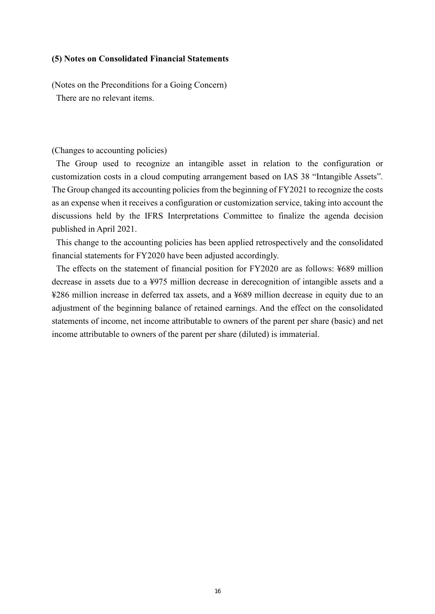#### **(5) Notes on Consolidated Financial Statements**

(Notes on the Preconditions for a Going Concern)

There are no relevant items.

#### (Changes to accounting policies)

The Group used to recognize an intangible asset in relation to the configuration or customization costs in a cloud computing arrangement based on IAS 38 "Intangible Assets". The Group changed its accounting policies from the beginning of FY2021 to recognize the costs as an expense when it receives a configuration or customization service, taking into account the discussions held by the IFRS Interpretations Committee to finalize the agenda decision published in April 2021.

This change to the accounting policies has been applied retrospectively and the consolidated financial statements for FY2020 have been adjusted accordingly.

The effects on the statement of financial position for FY2020 are as follows: ¥689 million decrease in assets due to a ¥975 million decrease in derecognition of intangible assets and a ¥286 million increase in deferred tax assets, and a ¥689 million decrease in equity due to an adjustment of the beginning balance of retained earnings. And the effect on the consolidated statements of income, net income attributable to owners of the parent per share (basic) and net income attributable to owners of the parent per share (diluted) is immaterial.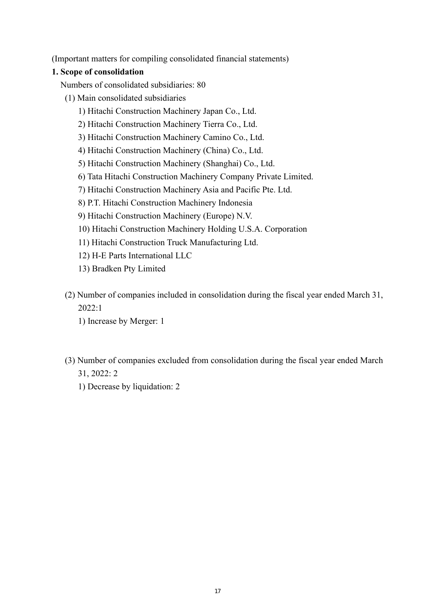(Important matters for compiling consolidated financial statements)

## **1. Scope of consolidation**

Numbers of consolidated subsidiaries: 80

- (1) Main consolidated subsidiaries
	- 1) Hitachi Construction Machinery Japan Co., Ltd.
	- 2) Hitachi Construction Machinery Tierra Co., Ltd.
	- 3) Hitachi Construction Machinery Camino Co., Ltd.
	- 4) Hitachi Construction Machinery (China) Co., Ltd.
	- 5) Hitachi Construction Machinery (Shanghai) Co., Ltd.
	- 6) Tata Hitachi Construction Machinery Company Private Limited.
	- 7) Hitachi Construction Machinery Asia and Pacific Pte. Ltd.
	- 8) P.T. Hitachi Construction Machinery Indonesia
	- 9) Hitachi Construction Machinery (Europe) N.V.
	- 10) Hitachi Construction Machinery Holding U.S.A. Corporation
	- 11) Hitachi Construction Truck Manufacturing Ltd.
	- 12) H-E Parts International LLC
	- 13) Bradken Pty Limited
- (2) Number of companies included in consolidation during the fiscal year ended March 31, 2022:1
	- 1) Increase by Merger: 1
- (3) Number of companies excluded from consolidation during the fiscal year ended March 31, 2022: 2
	- 1) Decrease by liquidation: 2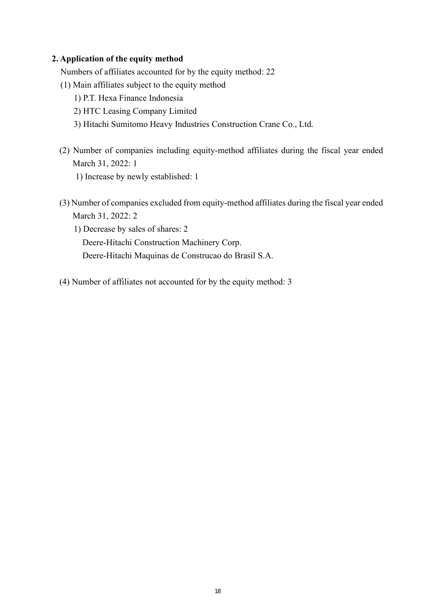#### **2. Application of the equity method**

Numbers of affiliates accounted for by the equity method: 22

- (1) Main affiliates subject to the equity method
	- 1) P.T. Hexa Finance Indonesia
	- 2) HTC Leasing Company Limited
	- 3) Hitachi Sumitomo Heavy Industries Construction Crane Co., Ltd.
- (2) Number of companies including equity-method affiliates during the fiscal year ended March 31, 2022: 1
	- 1) Increase by newly established: 1
- (3) Number of companies excluded from equity-method affiliates during the fiscal year ended March 31, 2022: 2
	- 1) Decrease by sales of shares: 2 Deere-Hitachi Construction Machinery Corp. Deere-Hitachi Maquinas de Construcao do Brasil S.A.
- (4) Number of affiliates not accounted for by the equity method: 3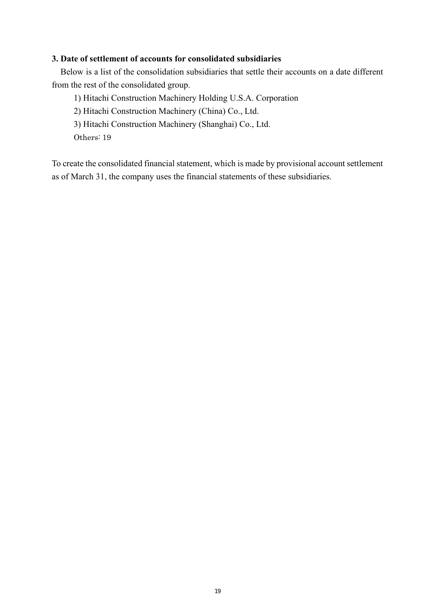#### **3. Date of settlement of accounts for consolidated subsidiaries**

Below is a list of the consolidation subsidiaries that settle their accounts on a date different from the rest of the consolidated group.

1) Hitachi Construction Machinery Holding U.S.A. Corporation

2) Hitachi Construction Machinery (China) Co., Ltd.

3) Hitachi Construction Machinery (Shanghai) Co., Ltd.

Others: 19

To create the consolidated financial statement, which is made by provisional account settlement as of March 31, the company uses the financial statements of these subsidiaries.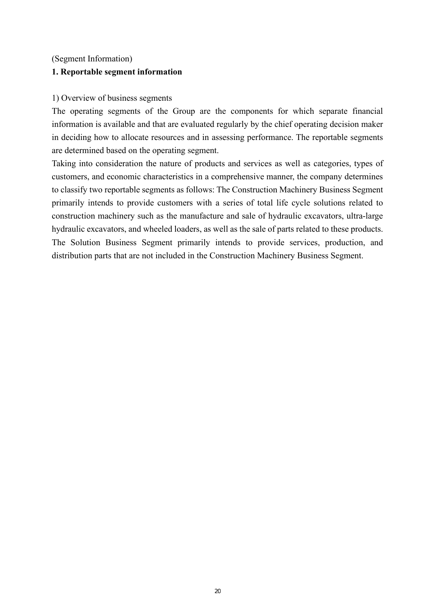#### (Segment Information)

#### **1. Reportable segment information**

#### 1) Overview of business segments

The operating segments of the Group are the components for which separate financial information is available and that are evaluated regularly by the chief operating decision maker in deciding how to allocate resources and in assessing performance. The reportable segments are determined based on the operating segment.

Taking into consideration the nature of products and services as well as categories, types of customers, and economic characteristics in a comprehensive manner, the company determines to classify two reportable segments as follows: The Construction Machinery Business Segment primarily intends to provide customers with a series of total life cycle solutions related to construction machinery such as the manufacture and sale of hydraulic excavators, ultra-large hydraulic excavators, and wheeled loaders, as well as the sale of parts related to these products. The Solution Business Segment primarily intends to provide services, production, and distribution parts that are not included in the Construction Machinery Business Segment.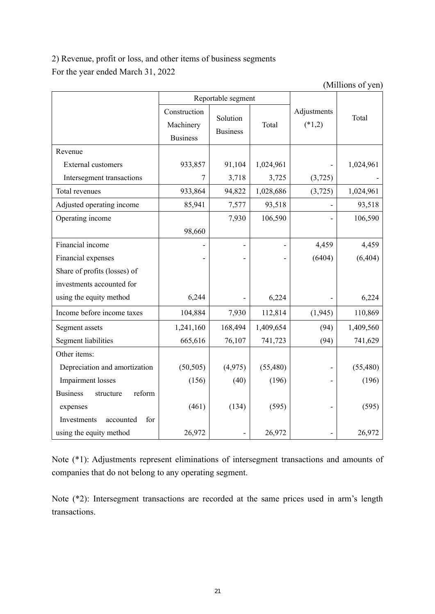2) Revenue, profit or loss, and other items of business segments For the year ended March 31, 2022

(Millions of yen)

|                                        | Reportable segment                           |                             |           |                         |           |
|----------------------------------------|----------------------------------------------|-----------------------------|-----------|-------------------------|-----------|
|                                        | Construction<br>Machinery<br><b>Business</b> | Solution<br><b>Business</b> | Total     | Adjustments<br>$(*1,2)$ | Total     |
| Revenue                                |                                              |                             |           |                         |           |
| <b>External customers</b>              | 933,857                                      | 91,104                      | 1,024,961 |                         | 1,024,961 |
| Intersegment transactions              | $\overline{7}$                               | 3,718                       | 3,725     | (3, 725)                |           |
| Total revenues                         | 933,864                                      | 94,822                      | 1,028,686 | (3,725)                 | 1,024,961 |
| Adjusted operating income              | 85,941                                       | 7,577                       | 93,518    |                         | 93,518    |
| Operating income                       |                                              | 7,930                       | 106,590   |                         | 106,590   |
|                                        | 98,660                                       |                             |           |                         |           |
| Financial income                       |                                              |                             |           | 4,459                   | 4,459     |
| Financial expenses                     |                                              |                             |           | (6404)                  | (6, 404)  |
| Share of profits (losses) of           |                                              |                             |           |                         |           |
| investments accounted for              |                                              |                             |           |                         |           |
| using the equity method                | 6,244                                        |                             | 6,224     |                         | 6,224     |
| Income before income taxes             | 104,884                                      | 7,930                       | 112,814   | (1,945)                 | 110,869   |
| Segment assets                         | 1,241,160                                    | 168,494                     | 1,409,654 | (94)                    | 1,409,560 |
| <b>Segment liabilities</b>             | 665,616                                      | 76,107                      | 741,723   | (94)                    | 741,629   |
| Other items:                           |                                              |                             |           |                         |           |
| Depreciation and amortization          | (50, 505)                                    | (4,975)                     | (55, 480) |                         | (55, 480) |
| Impairment losses                      | (156)                                        | (40)                        | (196)     |                         | (196)     |
| <b>Business</b><br>reform<br>structure |                                              |                             |           |                         |           |
| expenses                               | (461)                                        | (134)                       | (595)     |                         | (595)     |
| for<br>Investments<br>accounted        |                                              |                             |           |                         |           |
| using the equity method                | 26,972                                       |                             | 26,972    |                         | 26,972    |

Note (\*1): Adjustments represent eliminations of intersegment transactions and amounts of companies that do not belong to any operating segment.

Note (\*2): Intersegment transactions are recorded at the same prices used in arm's length transactions.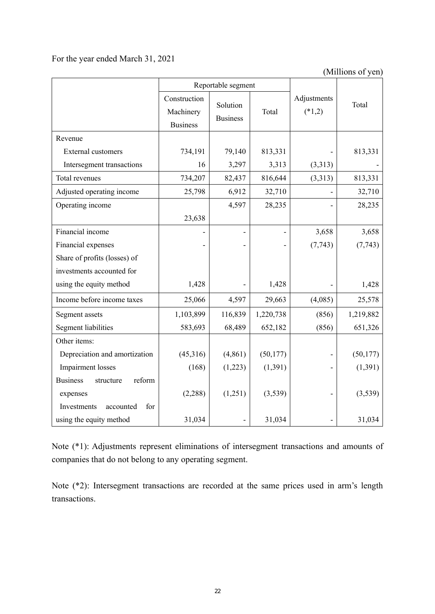### For the year ended March 31, 2021

(Millions of yen)

|                                        | Reportable segment                           |                             |           |                         |           |
|----------------------------------------|----------------------------------------------|-----------------------------|-----------|-------------------------|-----------|
|                                        | Construction<br>Machinery<br><b>Business</b> | Solution<br><b>Business</b> | Total     | Adjustments<br>$(*1,2)$ | Total     |
| Revenue                                |                                              |                             |           |                         |           |
| <b>External customers</b>              | 734,191                                      | 79,140                      | 813,331   |                         | 813,331   |
| Intersegment transactions              | 16                                           | 3,297                       | 3,313     | (3,313)                 |           |
| Total revenues                         | 734,207                                      | 82,437                      | 816,644   | (3,313)                 | 813,331   |
| Adjusted operating income              | 25,798                                       | 6,912                       | 32,710    |                         | 32,710    |
| Operating income                       |                                              | 4,597                       | 28,235    |                         | 28,235    |
|                                        | 23,638                                       |                             |           |                         |           |
| Financial income                       |                                              |                             |           | 3,658                   | 3,658     |
| Financial expenses                     |                                              |                             |           | (7, 743)                | (7, 743)  |
| Share of profits (losses) of           |                                              |                             |           |                         |           |
| investments accounted for              |                                              |                             |           |                         |           |
| using the equity method                | 1,428                                        |                             | 1,428     |                         | 1,428     |
| Income before income taxes             | 25,066                                       | 4,597                       | 29,663    | (4,085)                 | 25,578    |
| Segment assets                         | 1,103,899                                    | 116,839                     | 1,220,738 | (856)                   | 1,219,882 |
| <b>Segment liabilities</b>             | 583,693                                      | 68,489                      | 652,182   | (856)                   | 651,326   |
| Other items:                           |                                              |                             |           |                         |           |
| Depreciation and amortization          | (45,316)                                     | (4, 861)                    | (50, 177) |                         | (50, 177) |
| Impairment losses                      | (168)                                        | (1,223)                     | (1, 391)  |                         | (1, 391)  |
| <b>Business</b><br>reform<br>structure |                                              |                             |           |                         |           |
| expenses                               | (2,288)                                      | (1,251)                     | (3,539)   |                         | (3,539)   |
| for<br>accounted<br>Investments        |                                              |                             |           |                         |           |
| using the equity method                | 31,034                                       |                             | 31,034    |                         | 31,034    |

Note (\*1): Adjustments represent eliminations of intersegment transactions and amounts of companies that do not belong to any operating segment.

Note (\*2): Intersegment transactions are recorded at the same prices used in arm's length transactions.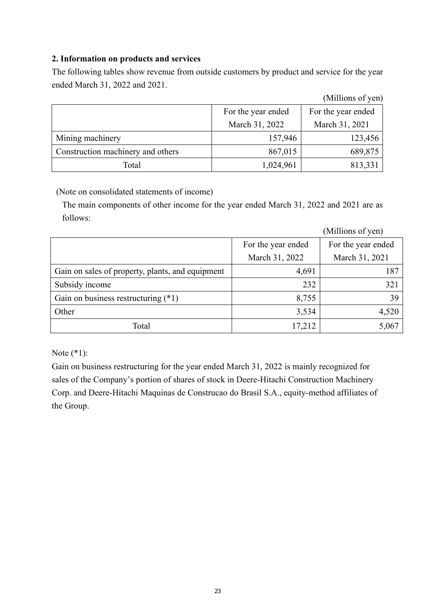## **2. Information on products and services**

The following tables show revenue from outside customers by product and service for the year ended March 31, 2022 and 2021.

|                                   |                    | (Millions of yen)  |
|-----------------------------------|--------------------|--------------------|
|                                   | For the year ended | For the year ended |
|                                   | March 31, 2022     | March 31, 2021     |
| Mining machinery                  | 157,946            | 123,456            |
| Construction machinery and others | 867,015            | 689,875            |
| Total                             | 1,024,961          | 813,331            |

(Note on consolidated statements of income)

The main components of other income for the year ended March 31, 2022 and 2021 are as follows:

|                                                  |                    | (Millions of yen)  |
|--------------------------------------------------|--------------------|--------------------|
|                                                  | For the year ended | For the year ended |
|                                                  | March 31, 2022     | March 31, 2021     |
| Gain on sales of property, plants, and equipment | 4,691              | 187                |
| Subsidy income                                   | 232                | 321                |
| Gain on business restructuring $(*1)$            | 8,755              | 39                 |
| Other                                            | 3,534              | 4,520              |
| Total                                            | 17,212             | 5,067              |

Note (\*1):

Gain on business restructuring for the year ended March 31, 2022 is mainly recognized for sales of the Company's portion of shares of stock in Deere-Hitachi Construction Machinery Corp. and Deere-Hitachi Maquinas de Construcao do Brasil S.A., equity-method affiliates of the Group.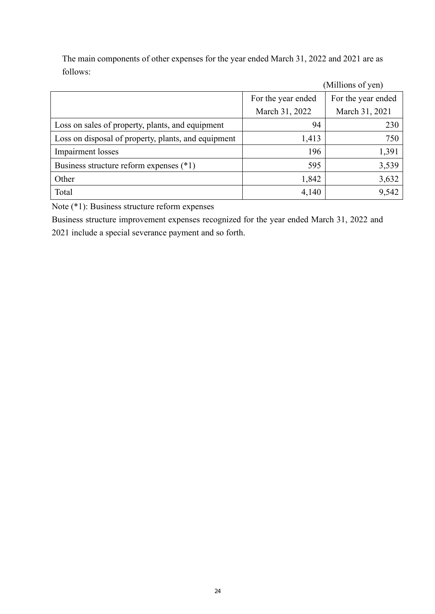The main components of other expenses for the year ended March 31, 2022 and 2021 are as follows:

|                                                     |                    | (Millions of yen)  |
|-----------------------------------------------------|--------------------|--------------------|
|                                                     | For the year ended | For the year ended |
|                                                     | March 31, 2022     | March 31, 2021     |
| Loss on sales of property, plants, and equipment    | 94                 | 230                |
| Loss on disposal of property, plants, and equipment | 1,413              | 750                |
| Impairment losses                                   | 196                | 1,391              |
| Business structure reform expenses (*1)             | 595                | 3,539              |
| Other                                               | 1,842              | 3,632              |
| Total                                               | 4,140              | 9,542              |

Note (\*1): Business structure reform expenses

Business structure improvement expenses recognized for the year ended March 31, 2022 and 2021 include a special severance payment and so forth.